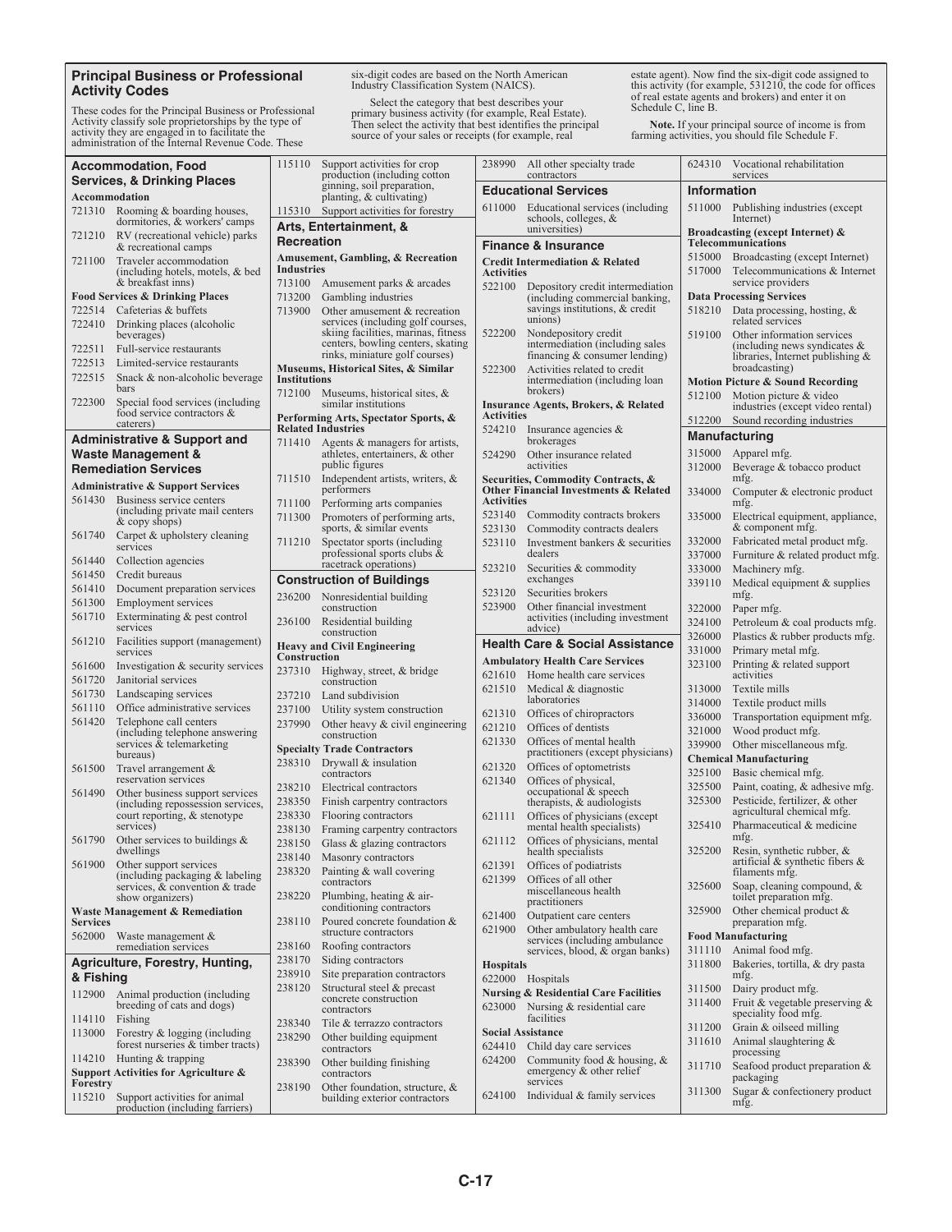## **Principal Business or Professional Activity Codes**

These codes for the Principal Business or Professional Activity classify sole proprietorships by the type of activity they are engaged in to facilitate the administration of the Internal Revenue Code. These

six-digit codes are based on the North American Industry Classification System (NAICS).

Select the category that best describes your<br>primary business activity (for example, Real Estate).<br>Then select the activity that best identifies the principal<br>source of your sales or receipts (for example, real

estate agent). Now find the six-digit code assigned to this activity (for example, 531210, the code for offices of real estate agents and brokers) and enter it on Schedule C, line B.

**Note.** If your principal source of income is from farming activities, you should file Schedule F.

| <b>Accommodation, Food</b>             |                                                                      |                                      | 115110 Support activities for crop<br>production (including cotton       |                                                 | 238990 All other specialty trade<br>contractors                                | 624310                                                            | Vocational rehabilitation<br>services                                |  |
|----------------------------------------|----------------------------------------------------------------------|--------------------------------------|--------------------------------------------------------------------------|-------------------------------------------------|--------------------------------------------------------------------------------|-------------------------------------------------------------------|----------------------------------------------------------------------|--|
| <b>Services, &amp; Drinking Places</b> |                                                                      |                                      | ginning, soil preparation,                                               |                                                 | <b>Educational Services</b>                                                    | Information                                                       |                                                                      |  |
| Accommodation                          |                                                                      |                                      | planting, & cultivating)                                                 | 611000                                          | Educational services (including                                                |                                                                   | 511000 Publishing industries (except                                 |  |
|                                        | 721310 Rooming & boarding houses,<br>dormitories, & workers' camps   |                                      | 115310 Support activities for forestry                                   |                                                 | schools, colleges, &                                                           |                                                                   | Internet)                                                            |  |
|                                        | 721210 RV (recreational vehicle) parks                               | Arts, Entertainment, &<br>Recreation |                                                                          | universities)<br><b>Finance &amp; Insurance</b> |                                                                                | <b>Broadcasting (except Internet) &amp;</b><br>Telecommunications |                                                                      |  |
| 721100                                 | & recreational camps<br>Traveler accommodation                       |                                      | <b>Amusement, Gambling, &amp; Recreation</b>                             |                                                 |                                                                                |                                                                   | 515000 Broadcasting (except Internet)                                |  |
|                                        | (including hotels, motels, & bed<br>& breakfast inns)                | Industries                           | 713100 Amusement parks & arcades                                         | <b>Activities</b><br>522100                     | <b>Credit Intermediation &amp; Related</b><br>Depository credit intermediation |                                                                   | 517000 Telecommunications & Internet<br>service providers            |  |
|                                        | <b>Food Services &amp; Drinking Places</b>                           | 713200                               | Gambling industries                                                      |                                                 | (including commercial banking,                                                 |                                                                   | <b>Data Processing Services</b>                                      |  |
|                                        | 722514 Cafeterias & buffets                                          | 713900                               | Other amusement & recreation                                             |                                                 | savings institutions, & credit                                                 | 518210                                                            | Data processing, hosting, &                                          |  |
| 722410                                 | Drinking places (alcoholic                                           |                                      | services (including golf courses,                                        |                                                 | unions)                                                                        |                                                                   | related services                                                     |  |
|                                        | beverages)                                                           |                                      | skiing facilities, marinas, fitness<br>centers, bowling centers, skating | 522200                                          | Nondepository credit<br>intermediation (including sales                        | 519100                                                            | Other information services<br>(including news syndicates $\&$        |  |
| 722513                                 | 722511 Full-service restaurants                                      |                                      | rinks, miniature golf courses)                                           |                                                 | financing $&$ consumer lending)                                                |                                                                   | libraries, Internet publishing $\&$                                  |  |
| 722515                                 | Limited-service restaurants<br>Snack & non-alcoholic beverage        |                                      | Museums, Historical Sites, & Similar                                     | 522300                                          | Activities related to credit                                                   |                                                                   | broadcasting)                                                        |  |
|                                        | bars                                                                 | <b>Institutions</b>                  |                                                                          |                                                 | intermediation (including loan)<br>brokers)                                    |                                                                   | <b>Motion Picture &amp; Sound Recording</b>                          |  |
| 722300                                 | Special food services (including                                     |                                      | 712100 Museums, historical sites, &<br>similar institutions              |                                                 | <b>Insurance Agents, Brokers, &amp; Related</b>                                |                                                                   | Motion picture & video<br>512100<br>industries (except video rental) |  |
|                                        | food service contractors &<br>caterers)                              | Performing Arts, Spectator Sports, & |                                                                          | <b>Activities</b>                               |                                                                                | 512200                                                            | Sound recording industries                                           |  |
|                                        | <b>Administrative &amp; Support and</b>                              |                                      | <b>Related Industries</b>                                                | 524210                                          | Insurance agencies $\&$                                                        |                                                                   | <b>Manufacturing</b>                                                 |  |
|                                        | Waste Management &                                                   |                                      | 711410 Agents & managers for artists,<br>athletes, entertainers, & other | 524290                                          | brokerages<br>Other insurance related                                          |                                                                   | 315000 Apparel mfg.                                                  |  |
|                                        | <b>Remediation Services</b>                                          |                                      | public figures                                                           |                                                 | activities                                                                     | 312000                                                            | Beverage & tobacco product                                           |  |
|                                        | <b>Administrative &amp; Support Services</b>                         |                                      | 711510 Independent artists, writers, &                                   |                                                 | Securities, Commodity Contracts, &                                             |                                                                   | mfg.                                                                 |  |
| 561430                                 | Business service centers                                             |                                      | performers                                                               | <b>Activities</b>                               | <b>Other Financial Investments &amp; Related</b>                               | 334000                                                            | Computer & electronic product                                        |  |
|                                        | (including private mail centers)                                     | 711100                               | Performing arts companies                                                | 523140                                          | Commodity contracts brokers                                                    | 335000                                                            | mfg.                                                                 |  |
|                                        | & copy shops)                                                        | 711300                               | Promoters of performing arts,<br>sports, & similar events                | 523130                                          | Commodity contracts dealers                                                    |                                                                   | Electrical equipment, appliance,<br>& component mfg.                 |  |
| 561740                                 | Carpet & upholstery cleaning                                         | 711210                               | Spectator sports (including                                              | 523110                                          | Investment bankers & securities                                                | 332000                                                            | Fabricated metal product mfg.                                        |  |
| 561440                                 | services<br>Collection agencies                                      |                                      | professional sports clubs &                                              |                                                 | dealers                                                                        | 337000                                                            | Furniture & related product mfg.                                     |  |
| 561450                                 | Credit bureaus                                                       |                                      | racetrack operations)                                                    | 523210                                          | Securities & commodity                                                         | 333000                                                            | Machinery mfg.                                                       |  |
| 561410                                 | Document preparation services                                        |                                      | <b>Construction of Buildings</b>                                         | 523120                                          | exchanges<br>Securities brokers                                                | 339110                                                            | Medical equipment & supplies                                         |  |
| 561300                                 | <b>Employment services</b>                                           |                                      | 236200 Nonresidential building<br>construction                           | 523900                                          | Other financial investment                                                     | 322000                                                            | mfg.<br>Paper mfg.                                                   |  |
| 561710                                 | Exterminating & pest control                                         |                                      | 236100 Residential building                                              |                                                 | activities (including investment                                               | 324100                                                            | Petroleum & coal products mfg.                                       |  |
|                                        | services                                                             |                                      | construction                                                             |                                                 | advice)                                                                        |                                                                   |                                                                      |  |
|                                        |                                                                      |                                      |                                                                          |                                                 |                                                                                | 326000                                                            | Plastics & rubber products mfg.                                      |  |
|                                        | 561210 Facilities support (management)<br>services                   |                                      | <b>Heavy and Civil Engineering</b>                                       |                                                 | <b>Health Care &amp; Social Assistance</b>                                     | 331000                                                            | Primary metal mfg.                                                   |  |
| 561600                                 | Investigation & security services                                    | Construction                         |                                                                          |                                                 | <b>Ambulatory Health Care Services</b>                                         | 323100                                                            | Printing & related support                                           |  |
| 561720                                 | Janitorial services                                                  |                                      | 237310 Highway, street, & bridge<br>construction                         |                                                 | 621610 Home health care services                                               |                                                                   | activities                                                           |  |
| 561730                                 | Landscaping services                                                 |                                      | 237210 Land subdivision                                                  | 621510                                          | Medical & diagnostic<br>laboratories                                           | 313000                                                            | Textile mills                                                        |  |
| 561110                                 | Office administrative services                                       | 237100                               | Utility system construction                                              | 621310                                          | Offices of chiropractors                                                       | 314000                                                            | Textile product mills                                                |  |
| 561420                                 | Telephone call centers                                               | 237990                               | Other heavy $&$ civil engineering                                        | 621210                                          | Offices of dentists                                                            | 336000                                                            | Transportation equipment mfg.                                        |  |
|                                        | (including telephone answering)<br>services & telemarketing          |                                      | construction                                                             | 621330                                          | Offices of mental health                                                       | 321000<br>339900                                                  | Wood product mfg.<br>Other miscellaneous mfg.                        |  |
|                                        | bureaus)                                                             |                                      | <b>Specialty Trade Contractors</b>                                       |                                                 | practitioners (except physicians)                                              |                                                                   | <b>Chemical Manufacturing</b>                                        |  |
| 561500                                 | Travel arrangement &                                                 |                                      | 238310 Drywall & insulation<br>contractors                               | 621320                                          | Offices of optometrists                                                        | 325100                                                            | Basic chemical mfg.                                                  |  |
|                                        | reservation services                                                 |                                      | 238210 Electrical contractors                                            | 621340                                          | Offices of physical,<br>occupational & speech                                  | 325500                                                            | Paint, coating, & adhesive mfg.                                      |  |
| 561490                                 | Other business support services<br>(including repossession services, |                                      | 238350 Finish carpentry contractors                                      |                                                 | therapists, $\&$ audiologists                                                  | 325300                                                            | Pesticide, fertilizer, & other                                       |  |
|                                        | court reporting, & stenotype                                         | 238330                               | Flooring contractors                                                     | 621111                                          | Offices of physicians (except                                                  |                                                                   | agricultural chemical mfg.                                           |  |
| 561790                                 | services)                                                            |                                      | 238130 Framing carpentry contractors                                     |                                                 | mental health specialists)                                                     | 325410                                                            | Pharmaceutical & medicine<br>mfg.                                    |  |
|                                        | Other services to buildings &<br>dwellings                           |                                      | 238150 Glass & glazing contractors                                       | 621112                                          | Offices of physicians, mental<br>health specialists                            |                                                                   | 325200 Resin, synthetic rubber, $\&$                                 |  |
|                                        | 561900 Other support services                                        |                                      | 238140 Masonry contractors<br>238320 Painting & wall covering            | 621391                                          | Offices of podiatrists                                                         |                                                                   | artificial $\&$ synthetic fibers $\&$                                |  |
|                                        | (including packaging $&$ labeling                                    |                                      | contractors                                                              | 621399                                          | Offices of all other                                                           | 325600                                                            | filaments mfg.                                                       |  |
|                                        | services, $\&$ convention $&$ trade<br>show organizers)              | 238220                               | Plumbing, heating $&$ air-                                               |                                                 | miscellaneous health<br>practitioners                                          |                                                                   | Soap, cleaning compound, &<br>toilet preparation mfg.                |  |
|                                        | <b>Waste Management &amp; Remediation</b>                            |                                      | conditioning contractors                                                 | 621400                                          | Outpatient care centers                                                        | 325900                                                            | Other chemical product $&$                                           |  |
| <b>Services</b>                        |                                                                      | 238110                               | Poured concrete foundation &<br>structure contractors                    | 621900                                          | Other ambulatory health care                                                   |                                                                   | preparation mfg.                                                     |  |
|                                        | 562000 Waste management &<br>remediation services                    | 238160                               | Roofing contractors                                                      |                                                 | services (including ambulance                                                  |                                                                   | <b>Food Manufacturing</b>                                            |  |
|                                        | Agriculture, Forestry, Hunting,                                      | 238170                               | Siding contractors                                                       |                                                 | services, blood, & organ banks)                                                | 311800                                                            | 311110 Animal food mfg.<br>Bakeries, tortilla, & dry pasta           |  |
| & Fishing                              |                                                                      | 238910                               | Site preparation contractors                                             | <b>Hospitals</b>                                | 622000 Hospitals                                                               |                                                                   | mfg.                                                                 |  |
| 112900                                 | Animal production (including                                         | 238120                               | Structural steel & precast                                               |                                                 | <b>Nursing &amp; Residential Care Facilities</b>                               | 311500                                                            | Dairy product mfg.                                                   |  |
|                                        | breeding of cats and dogs)                                           |                                      | concrete construction<br>contractors                                     | 623000                                          | Nursing & residential care                                                     | 311400                                                            | Fruit & vegetable preserving $&$                                     |  |
| 114110 Fishing                         |                                                                      | 238340                               | Tile & terrazzo contractors                                              |                                                 | facilities                                                                     | 311200                                                            | speciality food mfg.<br>Grain & oilseed milling                      |  |
|                                        | 113000 Forestry & logging (including                                 | 238290                               | Other building equipment                                                 |                                                 | <b>Social Assistance</b>                                                       | 311610                                                            | Animal slaughtering &                                                |  |
|                                        | forest nurseries & timber tracts)<br>114210 Hunting & trapping       |                                      | contractors                                                              | 624410<br>624200                                | Child day care services                                                        |                                                                   | processing                                                           |  |
|                                        | Support Activities for Agriculture &                                 | 238390                               | Other building finishing<br>contractors                                  |                                                 | Community food $&$ housing, $&$<br>emergency & other relief                    | 311710                                                            | Seafood product preparation &                                        |  |
| Forestry                               | 115210 Support activities for animal                                 | 238190                               | Other foundation, structure, &<br>building exterior contractors          |                                                 | services<br>$624100$ Individual & family services                              | 311300                                                            | packaging<br>Sugar & confectionery product                           |  |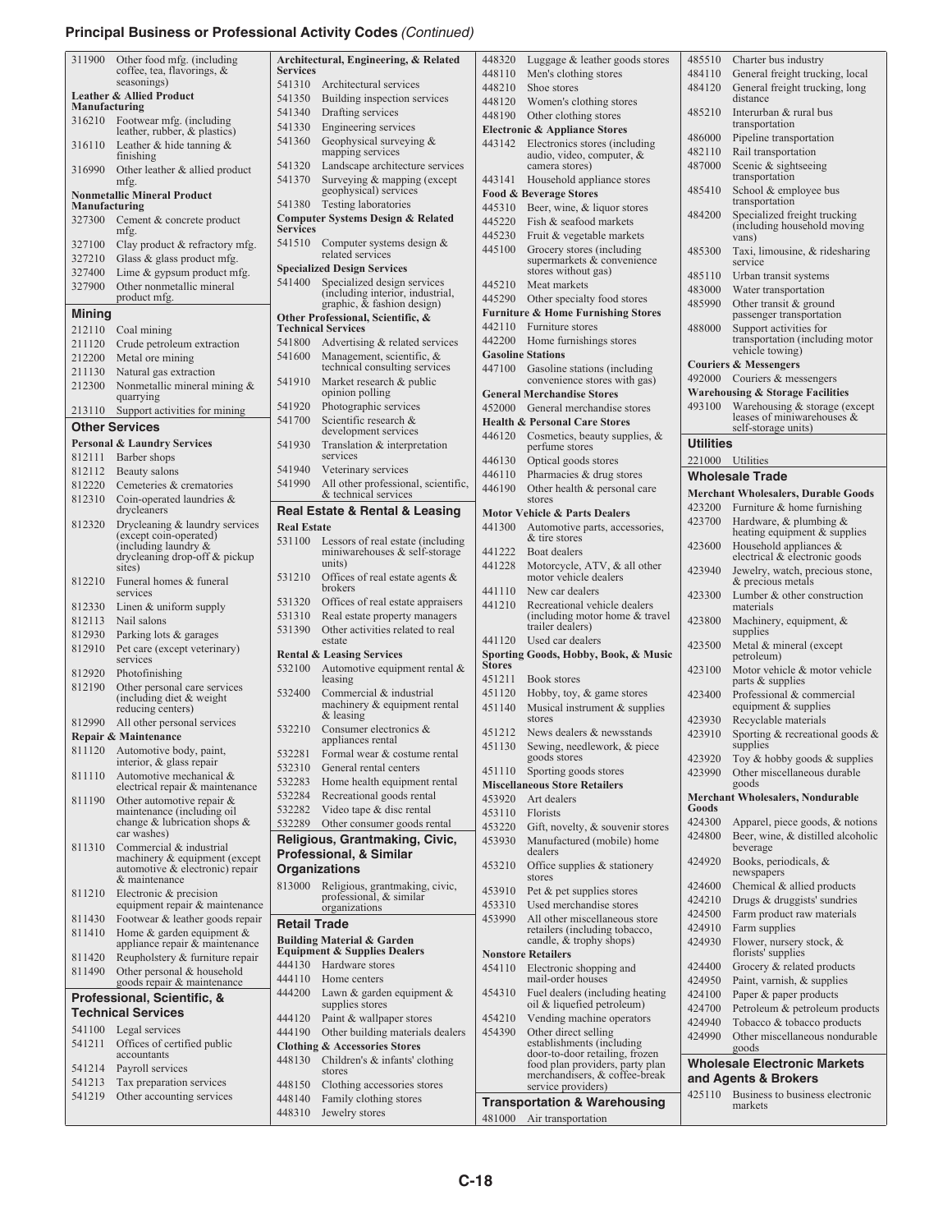## **Principal Business or Professional Activity Codes** *(Continued)*

| 311900               |                                                            |                     |                                                                                  |                  |                                                                              |                  |                                                                    |
|----------------------|------------------------------------------------------------|---------------------|----------------------------------------------------------------------------------|------------------|------------------------------------------------------------------------------|------------------|--------------------------------------------------------------------|
|                      | Other food mfg. (including                                 |                     | Architectural, Engineering, & Related                                            | 448320           | Luggage $&$ leather goods stores                                             | 485510           | Charter bus industry                                               |
|                      | coffee, tea, flavorings, &                                 | <b>Services</b>     |                                                                                  | 448110           | Men's clothing stores                                                        | 484110           | General freight trucking, local                                    |
|                      | seasonings)                                                | 541310              | Architectural services                                                           | 448210           | Shoe stores                                                                  | 484120           | General freight trucking, long                                     |
| Manufacturing        | <b>Leather &amp; Allied Product</b>                        | 541350              | Building inspection services                                                     | 448120           | Women's clothing stores                                                      |                  | distance                                                           |
| 316210               | Footwear mfg. (including                                   | 541340              | Drafting services                                                                | 448190           | Other clothing stores                                                        | 485210           | Interurban & rural bus<br>transportation                           |
|                      | leather, rubber, & plastics)                               | 541330              | Engineering services                                                             |                  | <b>Electronic &amp; Appliance Stores</b>                                     | 486000           | Pipeline transportation                                            |
| 316110               | Leather & hide tanning $&$                                 | 541360              | Geophysical surveying &<br>mapping services                                      | 443142           | Electronics stores (including                                                | 482110           | Rail transportation                                                |
|                      | finishing                                                  | 541320              | Landscape architecture services                                                  |                  | audio, video, computer, &<br>camera stores)                                  | 487000           | Scenic & sightseeing                                               |
| 316990               | Other leather & allied product<br>mfg.                     | 541370              | Surveying & mapping (except                                                      |                  | 443141 Household appliance stores                                            |                  | transportation                                                     |
|                      | <b>Nonmetallic Mineral Product</b>                         |                     | geophysical) services                                                            |                  | <b>Food &amp; Beverage Stores</b>                                            | 485410           | School & employee bus                                              |
| <b>Manufacturing</b> |                                                            |                     | 541380 Testing laboratories                                                      | 445310           | Beer, wine, & liquor stores                                                  |                  | transportation                                                     |
| 327300               | Cement & concrete product                                  |                     | <b>Computer Systems Design &amp; Related</b>                                     | 445220           | Fish & seafood markets                                                       | 484200           | Specialized freight trucking<br>(including household moving        |
|                      | mfg.                                                       | <b>Services</b>     |                                                                                  | 445230           | Fruit & vegetable markets                                                    |                  | vans)                                                              |
| 327100               | Clay product & refractory mfg.                             | 541510              | Computer systems design &<br>related services                                    | 445100           | Grocery stores (including                                                    | 485300           | Taxi, limousine, & ridesharing                                     |
| 327210               | Glass & glass product mfg.                                 |                     | <b>Specialized Design Services</b>                                               |                  | supermarkets & convenience                                                   |                  | service                                                            |
| 327400               | Lime $&$ gypsum product mfg.                               | 541400              | Specialized design services                                                      |                  | stores without gas)                                                          | 485110           | Urban transit systems                                              |
| 327900               | Other nonmetallic mineral<br>product mfg.                  |                     | (including interior, industrial,                                                 | 445290           | 445210 Meat markets                                                          | 483000           | Water transportation                                               |
| <b>Mining</b>        |                                                            |                     | graphic, & fashion design)                                                       |                  | Other specialty food stores<br><b>Furniture &amp; Home Furnishing Stores</b> | 485990           | Other transit & ground                                             |
|                      |                                                            |                     | Other Professional, Scientific, &<br><b>Technical Services</b>                   | 442110           | Furniture stores                                                             | 488000           | passenger transportation<br>Support activities for                 |
| 212110               | Coal mining                                                | 541800              | Advertising & related services                                                   | 442200           | Home furnishings stores                                                      |                  | transportation (including motor                                    |
| 211120<br>212200     | Crude petroleum extraction<br>Metal ore mining             | 541600              | Management, scientific, &                                                        |                  | <b>Gasoline Stations</b>                                                     |                  | vehicle towing)                                                    |
| 211130               | Natural gas extraction                                     |                     | technical consulting services                                                    | 447100           | Gasoline stations (including                                                 |                  | <b>Couriers &amp; Messengers</b>                                   |
| 212300               | Nonmetallic mineral mining &                               | 541910              | Market research & public                                                         |                  | convenience stores with gas)                                                 |                  | 492000 Couriers & messengers                                       |
|                      | quarrying                                                  |                     | opinion polling                                                                  |                  | <b>General Merchandise Stores</b>                                            |                  | <b>Warehousing &amp; Storage Facilities</b>                        |
|                      | 213110 Support activities for mining                       | 541920              | Photographic services                                                            |                  | 452000 General merchandise stores                                            | 493100           | Warehousing & storage (except                                      |
|                      | <b>Other Services</b>                                      | 541700              | Scientific research &<br>development services                                    |                  | <b>Health &amp; Personal Care Stores</b>                                     |                  | leases of miniwarehouses &<br>self-storage units)                  |
|                      | <b>Personal &amp; Laundry Services</b>                     | 541930              | Translation & interpretation                                                     | 446120           | Cosmetics, beauty supplies, &<br>perfume stores                              | <b>Utilities</b> |                                                                    |
| 812111               | Barber shops                                               |                     | services                                                                         | 446130           | Optical goods stores                                                         |                  | 221000 Utilities                                                   |
| 812112               | Beauty salons                                              | 541940              | Veterinary services                                                              | 446110           | Pharmacies & drug stores                                                     |                  | <b>Wholesale Trade</b>                                             |
| 812220               | Cemeteries & crematories                                   | 541990              | All other professional, scientific,                                              | 446190           | Other health & personal care                                                 |                  |                                                                    |
| 812310               | Coin-operated laundries &                                  |                     | & technical services                                                             |                  | stores                                                                       |                  | <b>Merchant Wholesalers, Durable Goods</b>                         |
|                      | drycleaners                                                |                     | Real Estate & Rental & Leasing                                                   |                  | <b>Motor Vehicle &amp; Parts Dealers</b>                                     | 423700           | $423200$ Furniture & home furnishing<br>Hardware, $&$ plumbing $&$ |
| 812320               | Drycleaning & laundry services<br>(except coin-operated)   | <b>Real Estate</b>  |                                                                                  | 441300           | Automotive parts, accessories,                                               |                  | heating equipment & supplies                                       |
|                      | (including laundry $\&$                                    | 531100              | Lessors of real estate (including<br>miniwarehouses & self-storage               | 441222           | & tire stores<br>Boat dealers                                                | 423600           | Household appliances $\&$                                          |
|                      | drycleaning drop-off & pickup<br>sites)                    |                     | units)                                                                           | 441228           | Motorcycle, ATV, & all other                                                 |                  | electrical & electronic goods                                      |
| 812210               | Funeral homes & funeral                                    | 531210              | Offices of real estate agents &                                                  |                  | motor vehicle dealers                                                        | 423940           | Jewelry, watch, precious stone,<br>& precious metals               |
|                      | services                                                   |                     | brokers                                                                          | 441110           | New car dealers                                                              | 423300           | Lumber & other construction                                        |
| 812330               | Linen $&$ uniform supply                                   | 531320              | Offices of real estate appraisers                                                | 441210           | Recreational vehicle dealers                                                 |                  | materials                                                          |
| 812113               | Nail salons                                                | 531310<br>531390    | Real estate property managers<br>Other activities related to real                |                  | (including motor home & travel<br>trailer dealers)                           | 423800           | Machinery, equipment, &                                            |
|                      | Parking lots & garages                                     |                     |                                                                                  |                  |                                                                              |                  |                                                                    |
| 812930               |                                                            |                     | estate                                                                           | 441120           | Used car dealers                                                             |                  | supplies                                                           |
| 812910               | Pet care (except veterinary)                               |                     | <b>Rental &amp; Leasing Services</b>                                             |                  |                                                                              | 423500           | Metal & mineral (except                                            |
|                      | services                                                   | 532100              | Automotive equipment rental &                                                    | <b>Stores</b>    | Sporting Goods, Hobby, Book, & Music                                         | 423100           | petroleum)                                                         |
| 812920               | Photofinishing                                             |                     | leasing                                                                          | 451211           | Book stores                                                                  |                  | Motor vehicle & motor vehicle<br>parts & supplies                  |
| 812190               | Other personal care services<br>(including diet $&$ weight | 532400              | Commercial & industrial                                                          | 451120           | Hobby, toy, & game stores                                                    | 423400           | Professional & commercial                                          |
|                      | reducing centers)                                          |                     | machinery & equipment rental                                                     | 451140           | Musical instrument & supplies                                                |                  | equipment & supplies                                               |
| 812990               | All other personal services                                | 532210              | $&$ leasing<br>Consumer electronics &                                            |                  | stores                                                                       | 423930           | Recyclable materials                                               |
|                      | Repair & Maintenance                                       |                     | appliances rental                                                                |                  | 451212 News dealers & newsstands                                             | 423910           | Sporting $&$ recreational goods $&$<br>supplies                    |
| 811120               | Automotive body, paint,                                    |                     | 532281 Formal wear & costume rental                                              | 451130           | Sewing, needlework, & piece<br>goods stores                                  | 423920           | Toy $&$ hobby goods $&$ supplies                                   |
| 811110               | interior, $\&$ glass repair                                | 532310              | General rental centers                                                           |                  | 451110 Sporting goods stores                                                 | 423990           | Other miscellaneous durable                                        |
|                      | Automotive mechanical &<br>electrical repair & maintenance | 532283              | Home health equipment rental                                                     |                  | <b>Miscellaneous Store Retailers</b>                                         |                  | goods                                                              |
| 811190               | Other automotive repair $&$                                | 532284              | Recreational goods rental                                                        |                  | 453920 Art dealers                                                           |                  | <b>Merchant Wholesalers, Nondurable</b>                            |
|                      | maintenance (including oil                                 | 532282              | Video tape & disc rental                                                         | 453110           | Florists                                                                     | Goods            |                                                                    |
|                      | change $&$ lubrication shops $&$<br>car washes)            | 532289              | Other consumer goods rental                                                      | 453220           | Gift, novelty, & souvenir stores                                             | 424300<br>424800 | Apparel, piece goods, $\&$ notions                                 |
| 811310               | Commercial & industrial                                    |                     | Religious, Grantmaking, Civic,                                                   | 453930           | Manufactured (mobile) home                                                   |                  | Beer, wine, & distilled alcoholic<br>beverage                      |
|                      | machinery & equipment (except                              |                     | <b>Professional, &amp; Similar</b>                                               |                  | dealers                                                                      | 424920           | Books, periodicals, &                                              |
|                      | automotive & electronic) repair<br>& maintenance           |                     | Organizations                                                                    | 453210           | Office supplies & stationery<br>stores                                       |                  | newspapers                                                         |
| 811210               | Electronic & precision                                     |                     | 813000 Religious, grantmaking, civic,                                            | 453910           | Pet & pet supplies stores                                                    | 424600           | Chemical & allied products                                         |
|                      | equipment repair & maintenance                             |                     | professional, & similar<br>organizations                                         | 453310           | Used merchandise stores                                                      | 424210           | Drugs & druggists' sundries                                        |
| 811430               | Footwear & leather goods repair                            | <b>Retail Trade</b> |                                                                                  | 453990           | All other miscellaneous store                                                | 424500           | Farm product raw materials                                         |
| 811410               | Home $\&$ garden equipment $\&$                            |                     |                                                                                  |                  | retailers (including tobacco,                                                | 424910           | Farm supplies                                                      |
|                      | appliance repair & maintenance                             |                     | <b>Building Material &amp; Garden</b><br><b>Equipment &amp; Supplies Dealers</b> |                  | candle, & trophy shops)<br><b>Nonstore Retailers</b>                         | 424930           | Flower, nursery stock, &<br>florists' supplies                     |
| 811420<br>811490     | Reupholstery & furniture repair                            |                     | 444130 Hardware stores                                                           | 454110           | Electronic shopping and                                                      | 424400           | Grocery & related products                                         |
|                      | Other personal & household<br>goods repair & maintenance   |                     | 444110 Home centers                                                              |                  | mail-order houses                                                            | 424950           | Paint, varnish, & supplies                                         |
|                      | Professional, Scientific, &                                | 444200              | Lawn & garden equipment &                                                        | 454310           | Fuel dealers (including heating                                              | 424100           | Paper & paper products                                             |
|                      | <b>Technical Services</b>                                  |                     | supplies stores                                                                  |                  | oil & liquefied petroleum)                                                   | 424700           | Petroleum & petroleum products                                     |
| 541100               | Legal services                                             | 444190              | 444120 Paint & wallpaper stores                                                  | 454210<br>454390 | Vending machine operators                                                    | 424940           | Tobacco & tobacco products                                         |
| 541211               | Offices of certified public                                |                     | Other building materials dealers<br><b>Clothing &amp; Accessories Stores</b>     |                  | Other direct selling<br>establishments (including                            | 424990           | Other miscellaneous nondurable                                     |
|                      | accountants                                                | 448130              | Children's & infants' clothing                                                   |                  | door-to-door retailing, frozen                                               |                  | goods                                                              |
| 541214               | Payroll services                                           |                     | stores                                                                           |                  | food plan providers, party plan<br>merchandisers, & coffee-break             |                  | <b>Wholesale Electronic Markets</b>                                |
| 541213               | Tax preparation services                                   | 448150              | Clothing accessories stores                                                      |                  | service providers)                                                           |                  | and Agents & Brokers                                               |
| 541219               | Other accounting services                                  | 448140<br>448310    | Family clothing stores<br>Jewelry stores                                         |                  | <b>Transportation &amp; Warehousing</b>                                      |                  | 425110 Business to business electronic<br>markets                  |